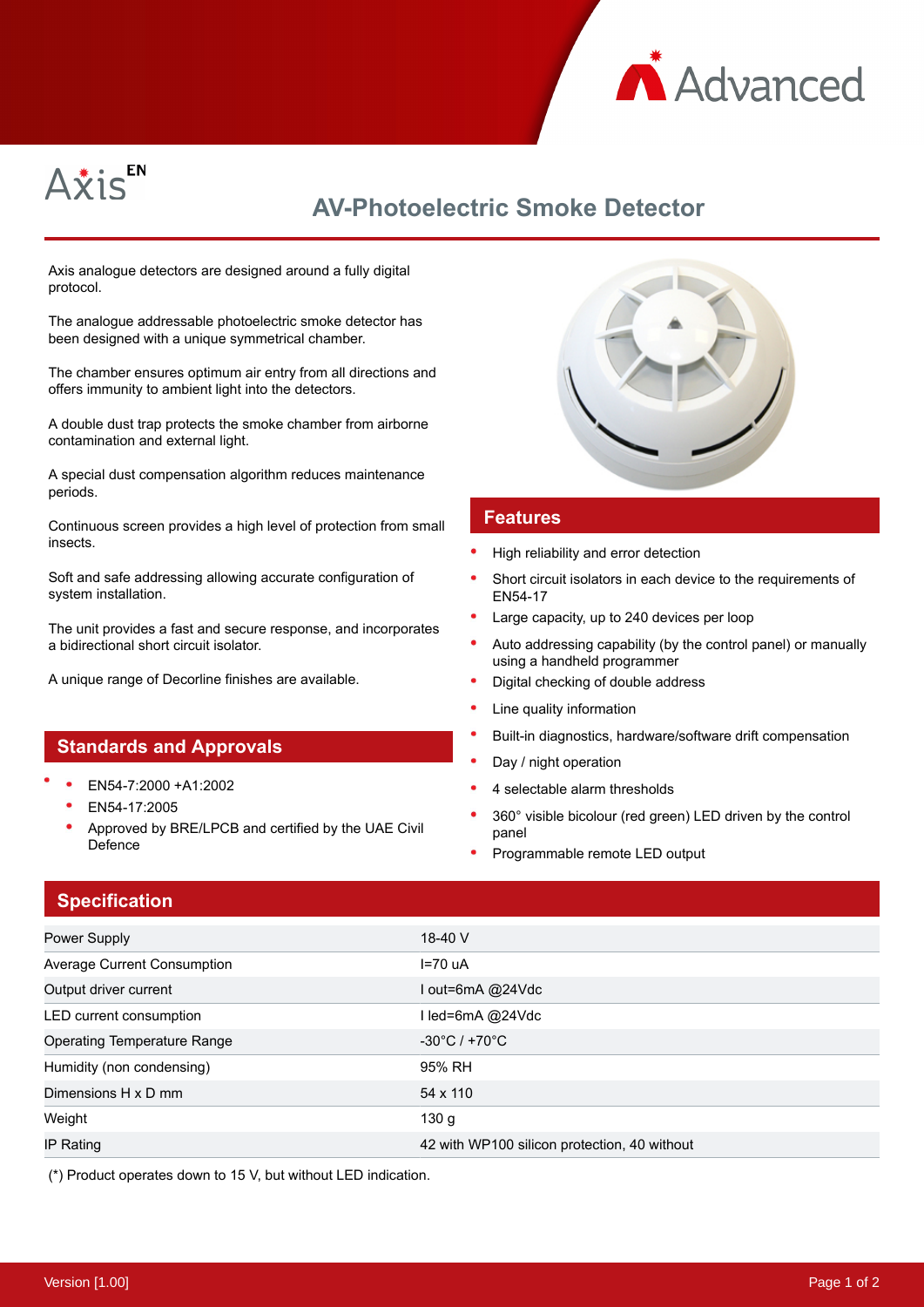



# **AV-Photoelectric Smoke Detector**

Axis analogue detectors are designed around a fully digital protocol.

The analogue addressable photoelectric smoke detector has been designed with a unique symmetrical chamber.

The chamber ensures optimum air entry from all directions and offers immunity to ambient light into the detectors.

A double dust trap protects the smoke chamber from airborne contamination and external light.

A special dust compensation algorithm reduces maintenance periods.

Continuous screen provides a high level of protection from small insects.

Soft and safe addressing allowing accurate configuration of system installation.

The unit provides a fast and secure response, and incorporates a bidirectional short circuit isolator.

A unique range of Decorline finishes are available.

#### **Standards and Approvals**

- EN54-7:2000 +A1:2002
	- EN54-17:2005
	- Approved by BRE/LPCB and certified by the UAE Civil Defence



#### **Features**

- High reliability and error detection
- Short circuit isolators in each device to the requirements of EN54-17
- Large capacity, up to 240 devices per loop
- Auto addressing capability (by the control panel) or manually using a handheld programmer
- Digital checking of double address
- Line quality information
- Built-in diagnostics, hardware/software drift compensation
- Day / night operation
- 4 selectable alarm thresholds
- 360° visible bicolour (red green) LED driven by the control panel
- Programmable remote LED output

### **Specification**

| Power Supply                       | 18-40 $V$                                    |
|------------------------------------|----------------------------------------------|
| Average Current Consumption        | $I=70 uA$                                    |
| Output driver current              | l out=6mA @24Vdc                             |
| LED current consumption            | I led=6mA @24Vdc                             |
| <b>Operating Temperature Range</b> | $-30^{\circ}$ C / +70 $^{\circ}$ C           |
| Humidity (non condensing)          | 95% RH                                       |
| Dimensions H x D mm                | 54 x 110                                     |
| Weight                             | 130 <sub>g</sub>                             |
| IP Rating                          | 42 with WP100 silicon protection, 40 without |

(\*) Product operates down to 15 V, but without LED indication.